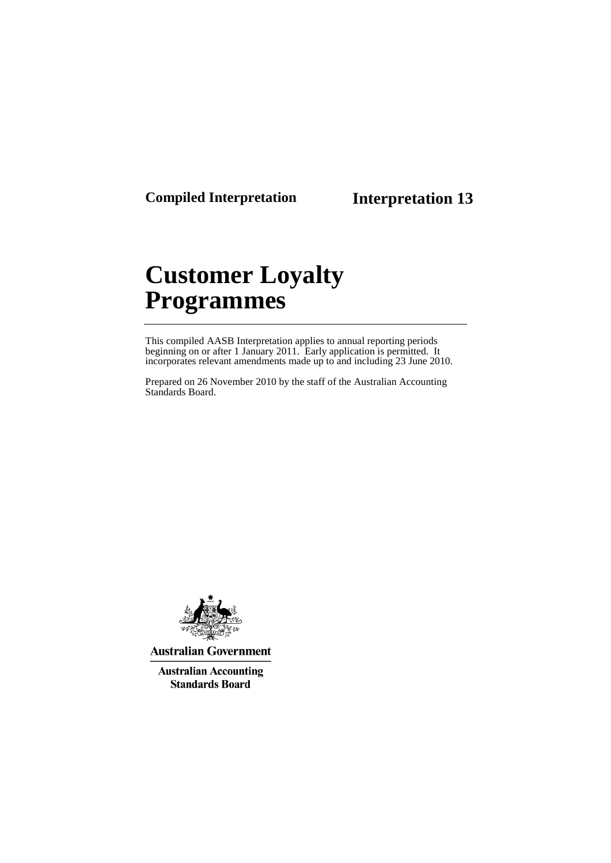**Compiled Interpretation Interpretation 13**

# **Customer Loyalty Programmes**

This compiled AASB Interpretation applies to annual reporting periods beginning on or after 1 January 2011. Early application is permitted. It incorporates relevant amendments made up to and including 23 June 2010.

Prepared on 26 November 2010 by the staff of the Australian Accounting Standards Board.



**Australian Government** 

**Australian Accounting Standards Board**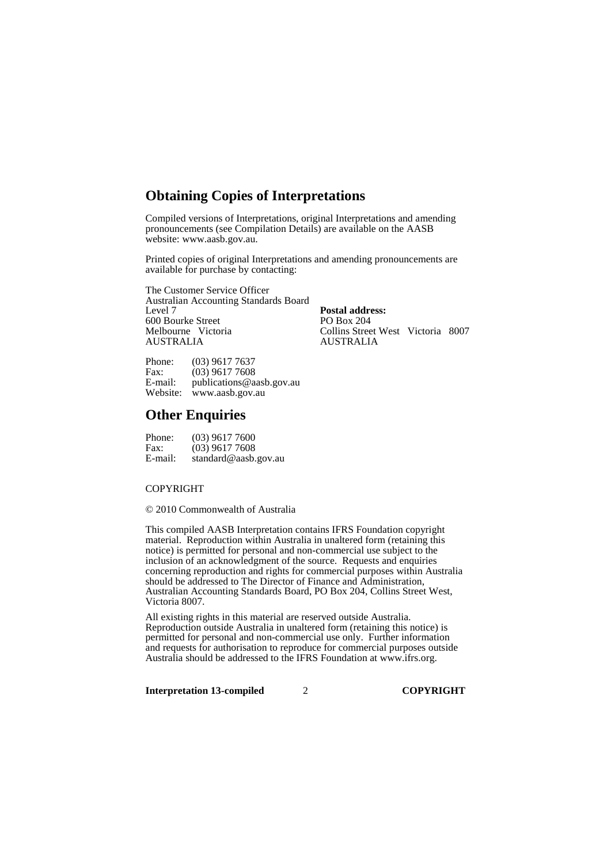## **Obtaining Copies of Interpretations**

Compiled versions of Interpretations, original Interpretations and amending pronouncements (see Compilation Details) are available on the AASB website: www.aasb.gov.au.

Printed copies of original Interpretations and amending pronouncements are available for purchase by contacting:

The Customer Service Officer Australian Accounting Standards Board Level 7 600 Bourke Street Melbourne Victoria AUSTRALIA

**Postal address:** PO Box 204 Collins Street West Victoria 8007 AUSTRALIA

Phone: (03) 9617 7637<br>Fax: (03) 9617 7608 Fax: (03) 9617 7608<br>E-mail: publications@a publications@aasb.gov.au Website: www.aasb.gov.au

## **Other Enquiries**

Phone: (03) 9617 7600 Fax: (03) 9617 7608 E-mail: standard@aasb.gov.au

#### COPYRIGHT

© 2010 Commonwealth of Australia

This compiled AASB Interpretation contains IFRS Foundation copyright material. Reproduction within Australia in unaltered form (retaining this notice) is permitted for personal and non-commercial use subject to the inclusion of an acknowledgment of the source. Requests and enquiries concerning reproduction and rights for commercial purposes within Australia should be addressed to The Director of Finance and Administration, Australian Accounting Standards Board, PO Box 204, Collins Street West, Victoria 8007.

All existing rights in this material are reserved outside Australia. Reproduction outside Australia in unaltered form (retaining this notice) is permitted for personal and non-commercial use only. Further information and requests for authorisation to reproduce for commercial purposes outside Australia should be addressed to the IFRS Foundation at www.ifrs.org.

**Interpretation 13-compiled** 2 **COPYRIGHT**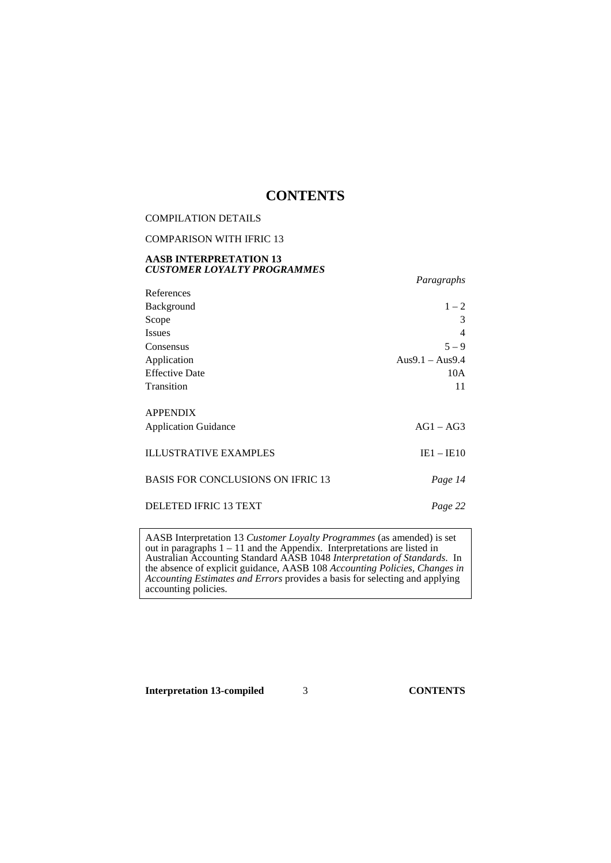## **CONTENTS**

#### COMPILATION DETAILS

#### COMPARISON WITH IFRIC 13

#### **AASB INTERPRETATION 13** *CUSTOMER LOYALTY PROGRAMMES*

| References                               |                   |
|------------------------------------------|-------------------|
| Background                               | $1 - 2$           |
| Scope                                    | 3                 |
| <i>Issues</i>                            | 4                 |
| Consensus                                | $5 - 9$           |
| Application                              | $Ans9.1 - Aus9.4$ |
| <b>Effective Date</b>                    | 10A               |
| Transition                               | 11                |
| <b>APPENDIX</b>                          |                   |
| <b>Application Guidance</b>              | $AG1 - AG3$       |
| <b>ILLUSTRATIVE EXAMPLES</b>             | $IE1 - IE10$      |
| <b>BASIS FOR CONCLUSIONS ON IFRIC 13</b> | Page 14           |
| DELETED IFRIC 13 TEXT                    | Page 22           |

AASB Interpretation 13 *Customer Loyalty Programmes* (as amended) is set out in paragraphs 1 – 11 and the Appendix. Interpretations are listed in Australian Accounting Standard AASB 1048 *Interpretation of Standards*. In the absence of explicit guidance, AASB 108 *Accounting Policies, Changes in Accounting Estimates and Errors* provides a basis for selecting and applying accounting policies.

**Interpretation 13-compiled** 3 **CONTENTS**

*Paragraphs*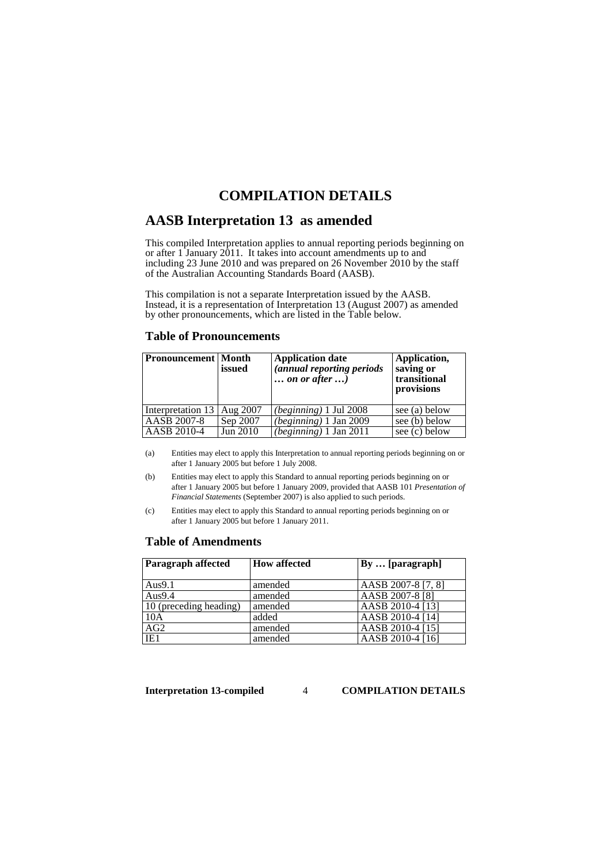## **COMPILATION DETAILS**

## **AASB Interpretation 13 as amended**

This compiled Interpretation applies to annual reporting periods beginning on or after 1 January 2011. It takes into account amendments up to and including 23 June 2010 and was prepared on 26 November 2010 by the staff of the Australian Accounting Standards Board (AASB).

This compilation is not a separate Interpretation issued by the AASB. Instead, it is a representation of Interpretation 13 (August 2007) as amended by other pronouncements, which are listed in the Table below.

#### **Table of Pronouncements**

| <b>Pronouncement</b>   Month | issued   | <b>Application date</b><br>(annual reporting periods<br>$\ldots$ on or after $\ldots$ ) | Application,<br>saving or<br>transitional<br>provisions |
|------------------------------|----------|-----------------------------------------------------------------------------------------|---------------------------------------------------------|
| Interpretation 13   Aug 2007 |          | (beginning) 1 Jul 2008                                                                  | see (a) below                                           |
| AASB 2007-8                  | Sep 2007 | (beginning) 1 Jan 2009                                                                  | see (b) below                                           |
| AASB 2010-4                  | Jun 2010 | (beginning) 1 Jan 2011                                                                  | see (c) below                                           |

(a) Entities may elect to apply this Interpretation to annual reporting periods beginning on or after 1 January 2005 but before 1 July 2008.

### **Table of Amendments**

| Paragraph affected     | <b>How affected</b> | By  [paragraph]    |
|------------------------|---------------------|--------------------|
| Aus $9.1$              | amended             | AASB 2007-8 [7, 8] |
| Aus $9.4$              | amended             | AASB 2007-8 [8]    |
| 10 (preceding heading) | amended             | AASB 2010-4 [13]   |
| 10A                    | added               | AASB 2010-4 [14]   |
| AG2                    | amended             | AASB 2010-4 [15]   |
| IE1                    | amended             | AASB 2010-4 [16]   |

**Interpretation 13-compiled** 4 **COMPILATION DETAILS**

<sup>(</sup>b) Entities may elect to apply this Standard to annual reporting periods beginning on or after 1 January 2005 but before 1 January 2009, provided that AASB 101 *Presentation of Financial Statements* (September 2007) is also applied to such periods.

<sup>(</sup>c) Entities may elect to apply this Standard to annual reporting periods beginning on or after 1 January 2005 but before 1 January 2011.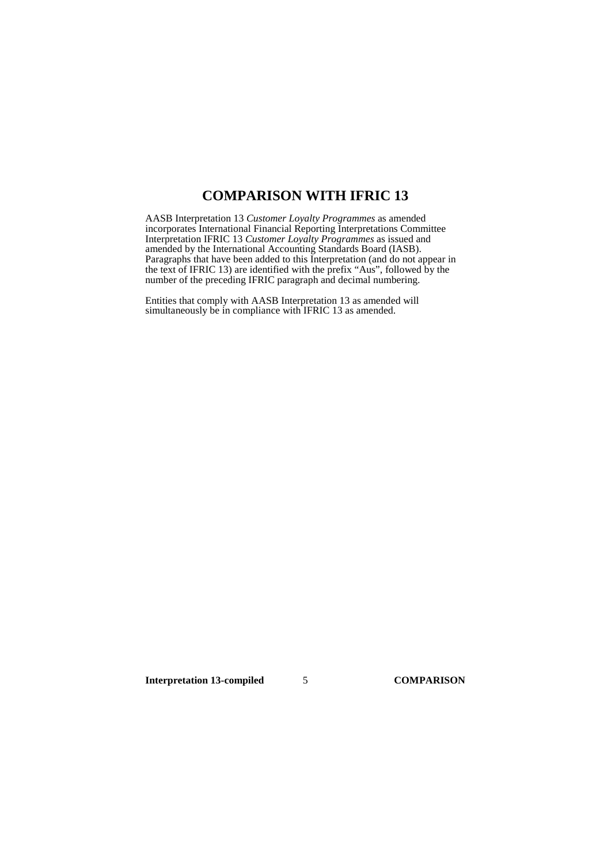## **COMPARISON WITH IFRIC 13**

AASB Interpretation 13 *Customer Loyalty Programmes* as amended incorporates International Financial Reporting Interpretations Committee Interpretation IFRIC 13 *Customer Loyalty Programmes* as issued and amended by the International Accounting Standards Board (IASB). Paragraphs that have been added to this Interpretation (and do not appear in the text of IFRIC 13) are identified with the prefix "Aus", followed by the number of the preceding IFRIC paragraph and decimal numbering.

Entities that comply with AASB Interpretation 13 as amended will simultaneously be in compliance with IFRIC 13 as amended.

**Interpretation 13-compiled** 5 **COMPARISON**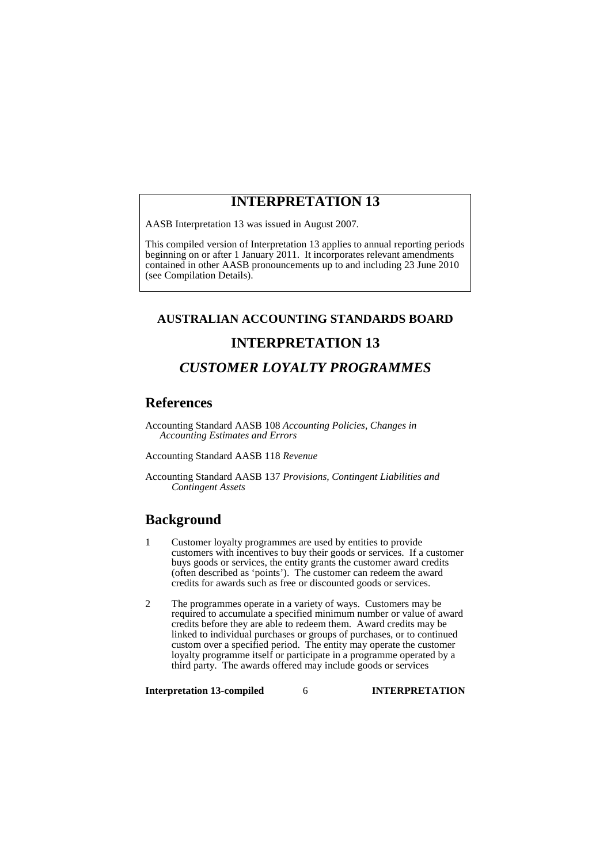## **INTERPRETATION 13**

AASB Interpretation 13 was issued in August 2007*.*

This compiled version of Interpretation 13 applies to annual reporting periods beginning on or after 1 January 2011. It incorporates relevant amendments contained in other AASB pronouncements up to and including 23 June 2010 (see Compilation Details).

## **AUSTRALIAN ACCOUNTING STANDARDS BOARD**

## **INTERPRETATION 13**

## *CUSTOMER LOYALTY PROGRAMMES*

## **References**

Accounting Standard AASB 108 *Accounting Policies, Changes in Accounting Estimates and Errors*

Accounting Standard AASB 118 *Revenue*

Accounting Standard AASB 137 *Provisions, Contingent Liabilities and Contingent Assets*

## **Background**

- 1 Customer loyalty programmes are used by entities to provide customers with incentives to buy their goods or services. If a customer buys goods or services, the entity grants the customer award credits (often described as 'points'). The customer can redeem the award credits for awards such as free or discounted goods or services.
- 2 The programmes operate in a variety of ways. Customers may be required to accumulate a specified minimum number or value of award credits before they are able to redeem them. Award credits may be linked to individual purchases or groups of purchases, or to continued custom over a specified period. The entity may operate the customer loyalty programme itself or participate in a programme operated by a third party. The awards offered may include goods or services

**Interpretation 13-compiled** 6 **INTERPRETATION**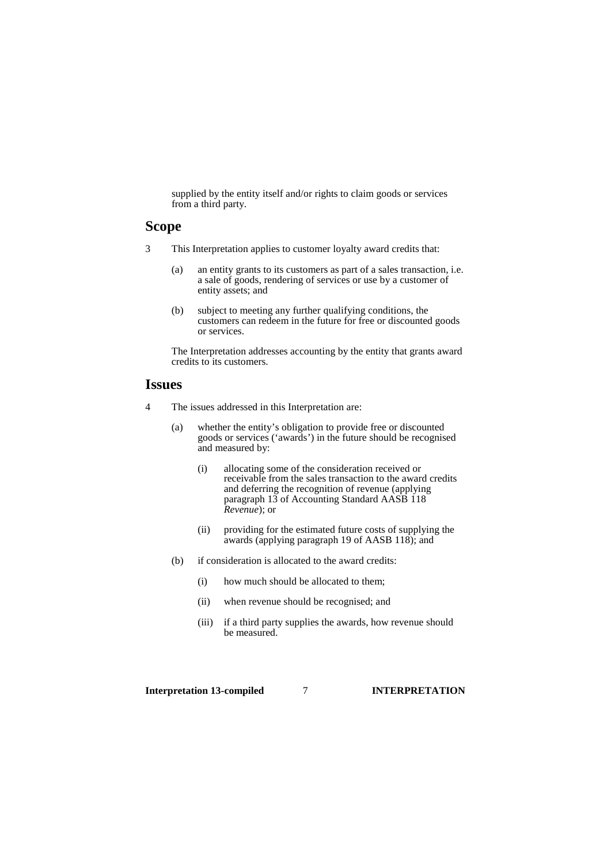supplied by the entity itself and/or rights to claim goods or services from a third party.

#### **Scope**

- 3 This Interpretation applies to customer loyalty award credits that:
	- (a) an entity grants to its customers as part of a sales transaction, i.e. a sale of goods, rendering of services or use by a customer of entity assets; and
	- (b) subject to meeting any further qualifying conditions, the customers can redeem in the future for free or discounted goods or services.

The Interpretation addresses accounting by the entity that grants award credits to its customers.

#### **Issues**

- 4 The issues addressed in this Interpretation are:
	- (a) whether the entity's obligation to provide free or discounted goods or services ('awards') in the future should be recognised and measured by:
		- (i) allocating some of the consideration received or receivable from the sales transaction to the award credits and deferring the recognition of revenue (applying paragraph 13 of Accounting Standard AASB 118 *Revenue*); or
		- (ii) providing for the estimated future costs of supplying the awards (applying paragraph 19 of AASB 118); and
	- (b) if consideration is allocated to the award credits:
		- (i) how much should be allocated to them;
		- (ii) when revenue should be recognised; and
		- (iii) if a third party supplies the awards, how revenue should be measured.

**Interpretation 13-compiled** 7 **INTERPRETATION**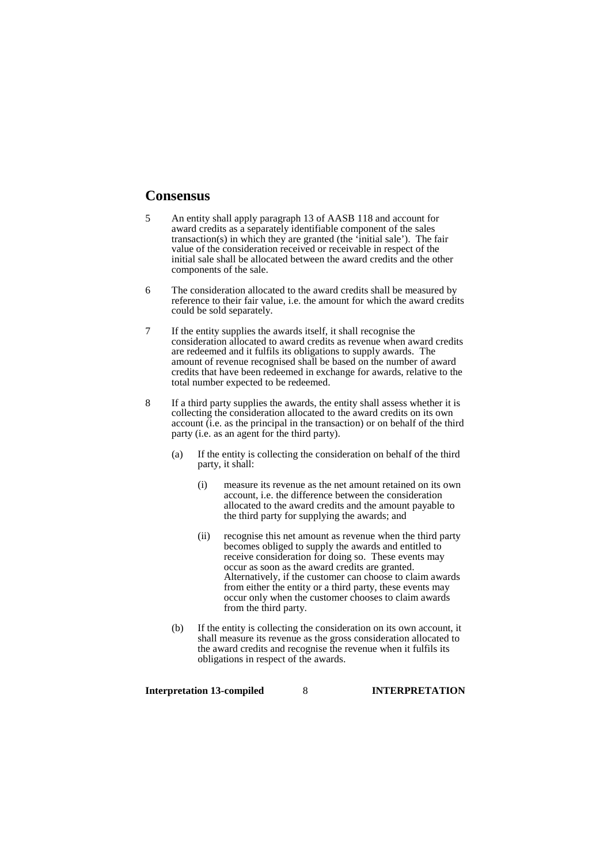## **Consensus**

- 5 An entity shall apply paragraph 13 of AASB 118 and account for award credits as a separately identifiable component of the sales transaction(s) in which they are granted (the 'initial sale'). The fair value of the consideration received or receivable in respect of the initial sale shall be allocated between the award credits and the other components of the sale.
- 6 The consideration allocated to the award credits shall be measured by reference to their fair value, i.e. the amount for which the award credits could be sold separately.
- 7 If the entity supplies the awards itself, it shall recognise the consideration allocated to award credits as revenue when award credits are redeemed and it fulfils its obligations to supply awards. The amount of revenue recognised shall be based on the number of award credits that have been redeemed in exchange for awards, relative to the total number expected to be redeemed.
- 8 If a third party supplies the awards, the entity shall assess whether it is collecting the consideration allocated to the award credits on its own account (i.e. as the principal in the transaction) or on behalf of the third party (i.e. as an agent for the third party).
	- (a) If the entity is collecting the consideration on behalf of the third party, it shall:
		- (i) measure its revenue as the net amount retained on its own account, i.e. the difference between the consideration allocated to the award credits and the amount payable to the third party for supplying the awards; and
		- (ii) recognise this net amount as revenue when the third party becomes obliged to supply the awards and entitled to receive consideration for doing so. These events may occur as soon as the award credits are granted. Alternatively, if the customer can choose to claim awards from either the entity or a third party, these events may occur only when the customer chooses to claim awards from the third party.
	- (b) If the entity is collecting the consideration on its own account, it shall measure its revenue as the gross consideration allocated to the award credits and recognise the revenue when it fulfils its obligations in respect of the awards.

**Interpretation 13-compiled** 8 **INTERPRETATION**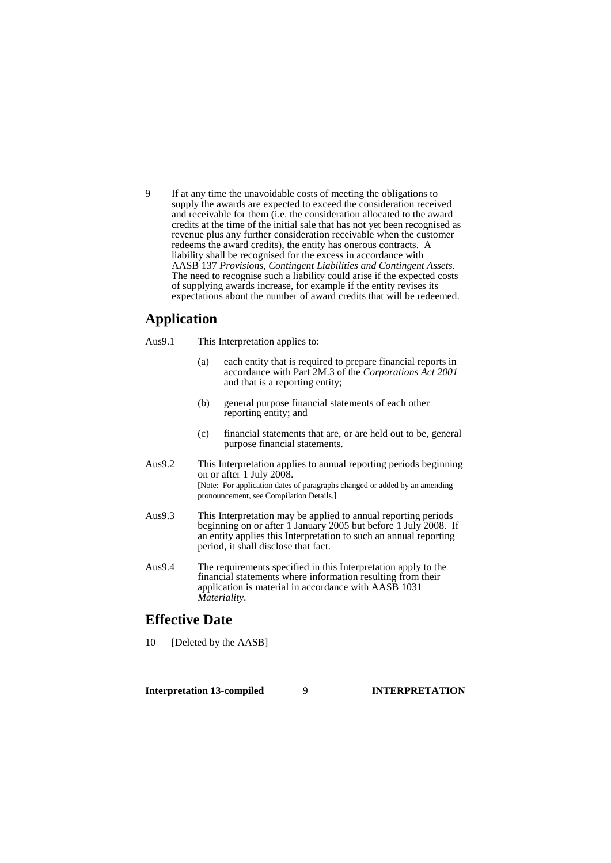9 If at any time the unavoidable costs of meeting the obligations to supply the awards are expected to exceed the consideration received and receivable for them (i.e. the consideration allocated to the award credits at the time of the initial sale that has not yet been recognised as revenue plus any further consideration receivable when the customer redeems the award credits), the entity has onerous contracts. A liability shall be recognised for the excess in accordance with AASB 137 *Provisions, Contingent Liabilities and Contingent Assets*. The need to recognise such a liability could arise if the expected costs of supplying awards increase, for example if the entity revises its expectations about the number of award credits that will be redeemed.

### **Application**

Aus9.1 This Interpretation applies to:

- (a) each entity that is required to prepare financial reports in accordance with Part 2M.3 of the *Corporations Act 2001* and that is a reporting entity;
- (b) general purpose financial statements of each other reporting entity; and
- (c) financial statements that are, or are held out to be, general purpose financial statements.
- Aus9.2 This Interpretation applies to annual reporting periods beginning on or after 1 July 2008. [Note: For application dates of paragraphs changed or added by an amending pronouncement, see Compilation Details.]
- Aus9.3 This Interpretation may be applied to annual reporting periods beginning on or after 1 January 2005 but before 1 July 2008. If an entity applies this Interpretation to such an annual reporting period, it shall disclose that fact.
- Aus9.4 The requirements specified in this Interpretation apply to the financial statements where information resulting from their application is material in accordance with AASB 1031 *Materiality*.

### **Effective Date**

10 [Deleted by the AASB]

**Interpretation 13-compiled** 9 **INTERPRETATION**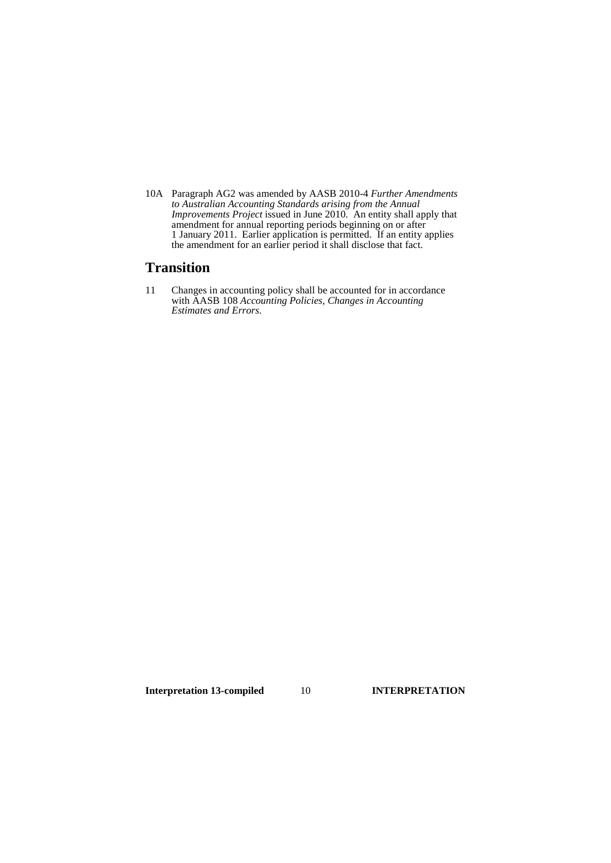10A Paragraph AG2 was amended by AASB 2010-4 *Further Amendments to Australian Accounting Standards arising from the Annual Improvements Project* issued in June 2010. An entity shall apply that amendment for annual reporting periods beginning on or after 1 January 2011. Earlier application is permitted. If an entity applies the amendment for an earlier period it shall disclose that fact.

## **Transition**

11 Changes in accounting policy shall be accounted for in accordance with AASB 108 *Accounting Policies, Changes in Accounting Estimates and Errors*.

**Interpretation 13-compiled** 10 **INTERPRETATION**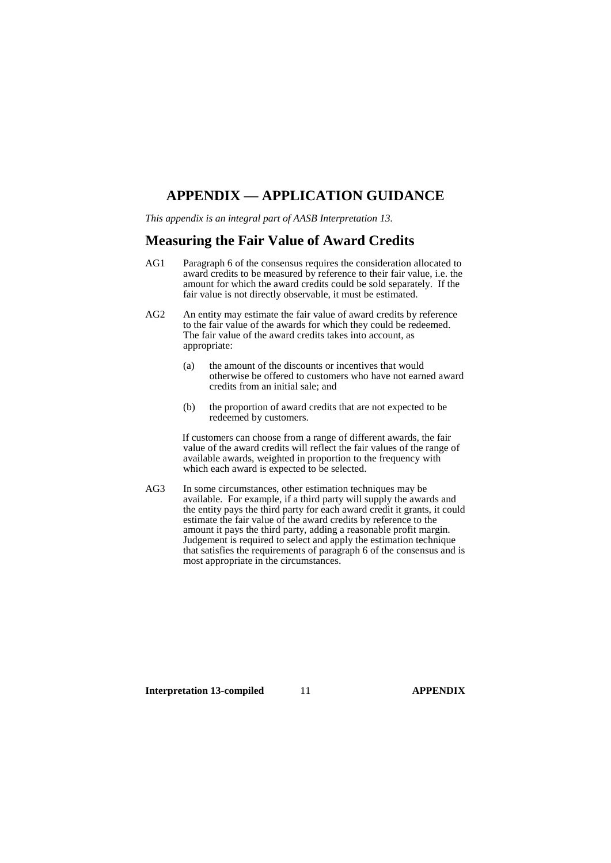## **APPENDIX — APPLICATION GUIDANCE**

*This appendix is an integral part of AASB Interpretation 13.*

## **Measuring the Fair Value of Award Credits**

- AG1 Paragraph 6 of the consensus requires the consideration allocated to award credits to be measured by reference to their fair value, i.e. the amount for which the award credits could be sold separately. If the fair value is not directly observable, it must be estimated.
- AG2 An entity may estimate the fair value of award credits by reference to the fair value of the awards for which they could be redeemed. The fair value of the award credits takes into account, as appropriate:
	- (a) the amount of the discounts or incentives that would otherwise be offered to customers who have not earned award credits from an initial sale; and
	- (b) the proportion of award credits that are not expected to be redeemed by customers.

If customers can choose from a range of different awards, the fair value of the award credits will reflect the fair values of the range of available awards, weighted in proportion to the frequency with which each award is expected to be selected.

AG3 In some circumstances, other estimation techniques may be available. For example, if a third party will supply the awards and the entity pays the third party for each award credit it grants, it could estimate the fair value of the award credits by reference to the amount it pays the third party, adding a reasonable profit margin. Judgement is required to select and apply the estimation technique that satisfies the requirements of paragraph 6 of the consensus and is most appropriate in the circumstances.

**Interpretation 13-compiled** 11 **APPENDIX**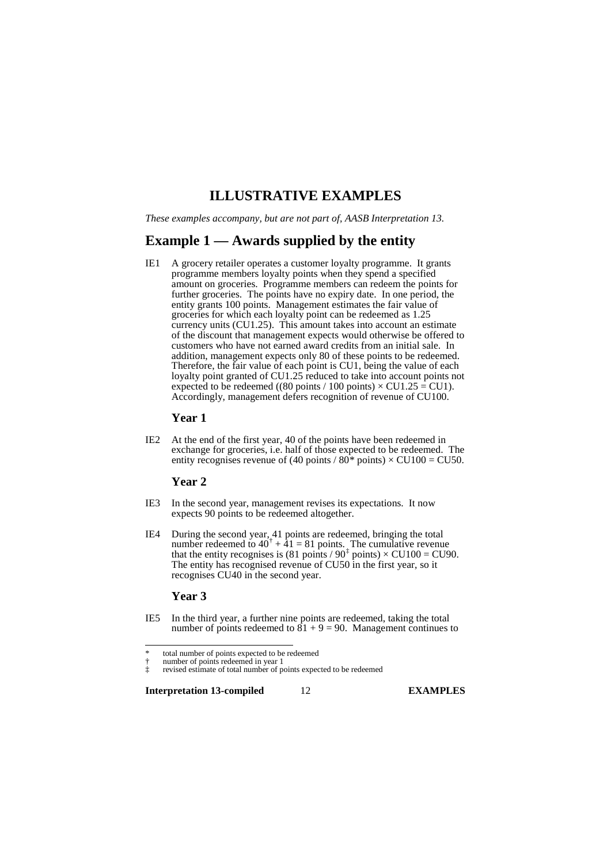## **ILLUSTRATIVE EXAMPLES**

*These examples accompany, but are not part of, AASB Interpretation 13.*

## **Example 1 — Awards supplied by the entity**

IE1 A grocery retailer operates a customer loyalty programme. It grants programme members loyalty points when they spend a specified amount on groceries. Programme members can redeem the points for further groceries. The points have no expiry date. In one period, the entity grants 100 points. Management estimates the fair value of groceries for which each loyalty point can be redeemed as 1.25 currency units (CU1.25). This amount takes into account an estimate of the discount that management expects would otherwise be offered to customers who have not earned award credits from an initial sale. In addition, management expects only 80 of these points to be redeemed. Therefore, the fair value of each point is CU1, being the value of each loyalty point granted of CU1.25 reduced to take into account points not expected to be redeemed ((80 points / 100 points)  $\times$  CU1.25 = CU1). Accordingly, management defers recognition of revenue of CU100.

#### **Year 1**

IE2 At the end of the first year, 40 of the points have been redeemed in exchange for groceries, i.e. half of those expected to be redeemed. The entity recognises revenue of (40 points /  $80^*$  $80^*$  points)  $\times$  CU100 = CU50.

#### **Year 2**

- IE3 In the second year, management revises its expectations. It now expects 90 points to be redeemed altogether.
- IE4 During the second year, 41 points are redeemed, bringing the total number redeemed to  $40^{\dagger} + 41 = 81$  points. The cumulative revenue that the entity recognises is (81 points /  $90^{\frac{1}{4}}$  points)  $\times$  CU100 = CU90. The entity has recognised revenue of CU50 in the first year, so it recognises CU40 in the second year.

#### **Year 3**

IE5 In the third year, a further nine points are redeemed, taking the total number of points redeemed to  $81 + 9 = 90$ . Management continues to

**Interpretation 13-compiled** 12 **EXAMPLES**

 <sup>\*</sup> total number of points expected to be redeemed † number of points redeemed in year 1

<span id="page-11-2"></span><span id="page-11-1"></span><span id="page-11-0"></span>

<sup>‡</sup> revised estimate of total number of points expected to be redeemed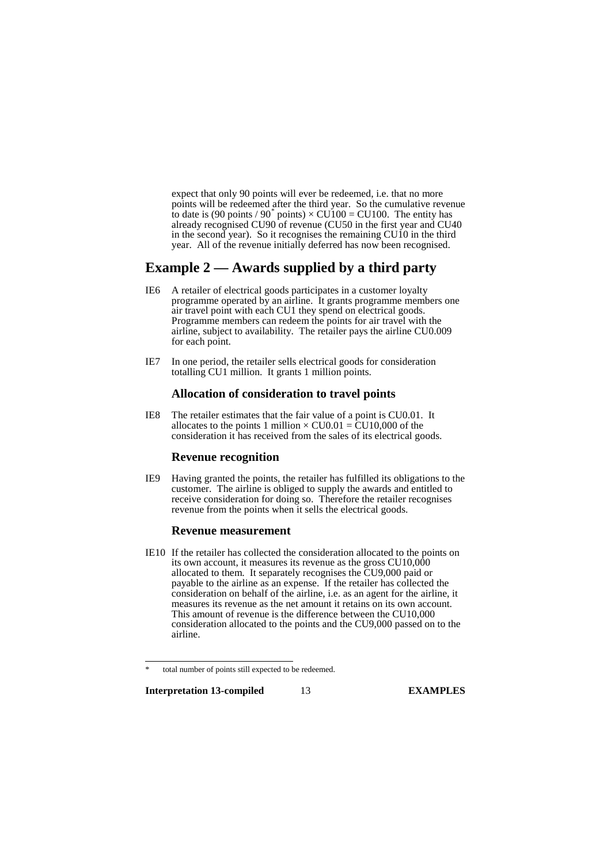expect that only 90 points will ever be redeemed, i.e. that no more points will be redeemed after the third year. So the cumulative revenue to date is (90 points / 90<sup>[\\*](#page-12-0)</sup> points)  $\times$  CU100 = CU100. The entity has already recognised CU90 of revenue (CU50 in the first year and CU40 in the second year). So it recognises the remaining CU10 in the third year. All of the revenue initially deferred has now been recognised.

## **Example 2 — Awards supplied by a third party**

- IE6 A retailer of electrical goods participates in a customer loyalty programme operated by an airline. It grants programme members one air travel point with each CU1 they spend on electrical goods. Programme members can redeem the points for air travel with the airline, subject to availability. The retailer pays the airline CU0.009 for each point.
- IE7 In one period, the retailer sells electrical goods for consideration totalling CU1 million. It grants 1 million points.

#### **Allocation of consideration to travel points**

IE8 The retailer estimates that the fair value of a point is CU0.01. It allocates to the points 1 million  $\times$  CU0.01 = CU10,000 of the consideration it has received from the sales of its electrical goods.

#### **Revenue recognition**

IE9 Having granted the points, the retailer has fulfilled its obligations to the customer. The airline is obliged to supply the awards and entitled to receive consideration for doing so. Therefore the retailer recognises revenue from the points when it sells the electrical goods.

#### **Revenue measurement**

IE10 If the retailer has collected the consideration allocated to the points on its own account, it measures its revenue as the gross CU10,000 allocated to them. It separately recognises the CU9,000 paid or payable to the airline as an expense. If the retailer has collected the consideration on behalf of the airline, i.e. as an agent for the airline, it measures its revenue as the net amount it retains on its own account. This amount of revenue is the difference between the CU10,000 consideration allocated to the points and the CU9,000 passed on to the airline.

**Interpretation 13-compiled** 13 **EXAMPLES** 

<span id="page-12-0"></span>total number of points still expected to be redeemed.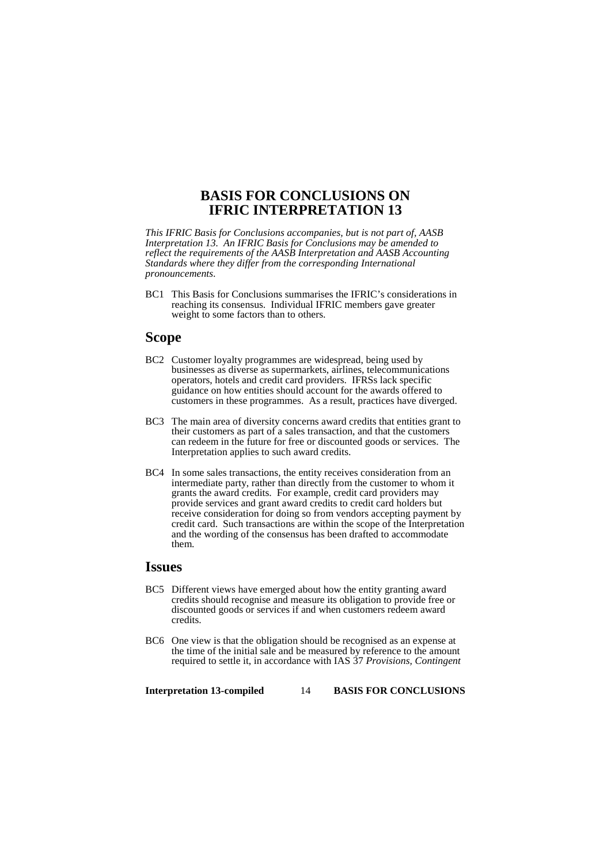## **BASIS FOR CONCLUSIONS ON IFRIC INTERPRETATION 13**

*This IFRIC Basis for Conclusions accompanies, but is not part of, AASB Interpretation 13. An IFRIC Basis for Conclusions may be amended to reflect the requirements of the AASB Interpretation and AASB Accounting Standards where they differ from the corresponding International pronouncements*.

BC1 This Basis for Conclusions summarises the IFRIC's considerations in reaching its consensus. Individual IFRIC members gave greater weight to some factors than to others.

### **Scope**

- BC2 Customer loyalty programmes are widespread, being used by businesses as diverse as supermarkets, airlines, telecommunications operators, hotels and credit card providers. IFRSs lack specific guidance on how entities should account for the awards offered to customers in these programmes. As a result, practices have diverged.
- BC3 The main area of diversity concerns award credits that entities grant to their customers as part of a sales transaction, and that the customers can redeem in the future for free or discounted goods or services. The Interpretation applies to such award credits.
- BC4 In some sales transactions, the entity receives consideration from an intermediate party, rather than directly from the customer to whom it grants the award credits. For example, credit card providers may provide services and grant award credits to credit card holders but receive consideration for doing so from vendors accepting payment by credit card. Such transactions are within the scope of the Interpretation and the wording of the consensus has been drafted to accommodate them.

#### **Issues**

- BC5 Different views have emerged about how the entity granting award credits should recognise and measure its obligation to provide free or discounted goods or services if and when customers redeem award credits.
- BC6 One view is that the obligation should be recognised as an expense at the time of the initial sale and be measured by reference to the amount required to settle it, in accordance with IAS 37 *Provisions, Contingent*

**Interpretation 13-compiled** 14 **BASIS FOR CONCLUSIONS**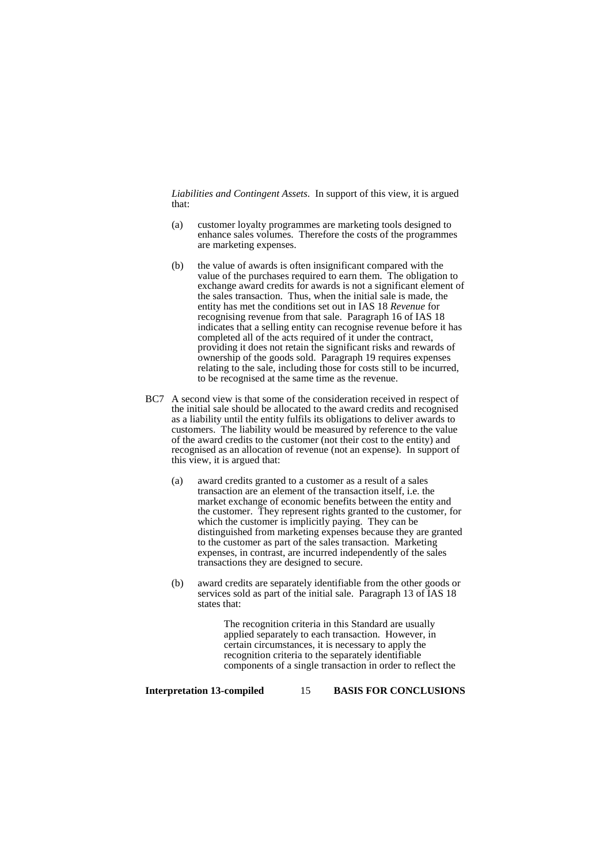*Liabilities and Contingent Assets*. In support of this view, it is argued that:

- (a) customer loyalty programmes are marketing tools designed to enhance sales volumes. Therefore the costs of the programmes are marketing expenses.
- (b) the value of awards is often insignificant compared with the value of the purchases required to earn them. The obligation to exchange award credits for awards is not a significant element of the sales transaction. Thus, when the initial sale is made, the entity has met the conditions set out in IAS 18 *Revenue* for recognising revenue from that sale. Paragraph 16 of IAS 18 indicates that a selling entity can recognise revenue before it has completed all of the acts required of it under the contract, providing it does not retain the significant risks and rewards of ownership of the goods sold. Paragraph 19 requires expenses relating to the sale, including those for costs still to be incurred, to be recognised at the same time as the revenue.
- BC7 A second view is that some of the consideration received in respect of the initial sale should be allocated to the award credits and recognised as a liability until the entity fulfils its obligations to deliver awards to customers. The liability would be measured by reference to the value of the award credits to the customer (not their cost to the entity) and recognised as an allocation of revenue (not an expense). In support of this view, it is argued that:
	- (a) award credits granted to a customer as a result of a sales transaction are an element of the transaction itself, i.e. the market exchange of economic benefits between the entity and the customer. They represent rights granted to the customer, for which the customer is implicitly paying. They can be distinguished from marketing expenses because they are granted to the customer as part of the sales transaction. Marketing expenses, in contrast, are incurred independently of the sales transactions they are designed to secure.
	- (b) award credits are separately identifiable from the other goods or services sold as part of the initial sale. Paragraph 13 of IAS 18 states that:

The recognition criteria in this Standard are usually applied separately to each transaction. However, in certain circumstances, it is necessary to apply the recognition criteria to the separately identifiable components of a single transaction in order to reflect the

**Interpretation 13-compiled** 15 **BASIS FOR CONCLUSIONS**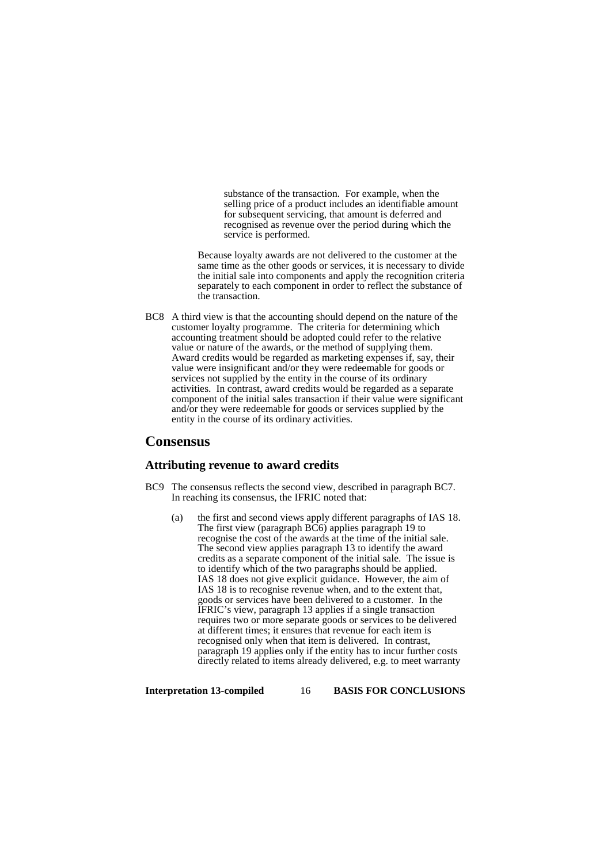substance of the transaction. For example, when the selling price of a product includes an identifiable amount for subsequent servicing, that amount is deferred and recognised as revenue over the period during which the service is performed.

Because loyalty awards are not delivered to the customer at the same time as the other goods or services, it is necessary to divide the initial sale into components and apply the recognition criteria separately to each component in order to reflect the substance of the transaction.

BC8 A third view is that the accounting should depend on the nature of the customer loyalty programme. The criteria for determining which accounting treatment should be adopted could refer to the relative value or nature of the awards, or the method of supplying them. Award credits would be regarded as marketing expenses if, say, their value were insignificant and/or they were redeemable for goods or services not supplied by the entity in the course of its ordinary activities. In contrast, award credits would be regarded as a separate component of the initial sales transaction if their value were significant and/or they were redeemable for goods or services supplied by the entity in the course of its ordinary activities.

### **Consensus**

#### **Attributing revenue to award credits**

- BC9 The consensus reflects the second view, described in paragraph BC7. In reaching its consensus, the IFRIC noted that:
	- (a) the first and second views apply different paragraphs of IAS 18. The first view (paragraph BC6) applies paragraph 19 to recognise the cost of the awards at the time of the initial sale. The second view applies paragraph 13 to identify the award credits as a separate component of the initial sale. The issue is to identify which of the two paragraphs should be applied. IAS 18 does not give explicit guidance. However, the aim of IAS 18 is to recognise revenue when, and to the extent that, goods or services have been delivered to a customer. In the IFRIC's view, paragraph 13 applies if a single transaction requires two or more separate goods or services to be delivered at different times; it ensures that revenue for each item is recognised only when that item is delivered. In contrast, paragraph 19 applies only if the entity has to incur further costs directly related to items already delivered, e.g. to meet warranty

**Interpretation 13-compiled** 16 **BASIS FOR CONCLUSIONS**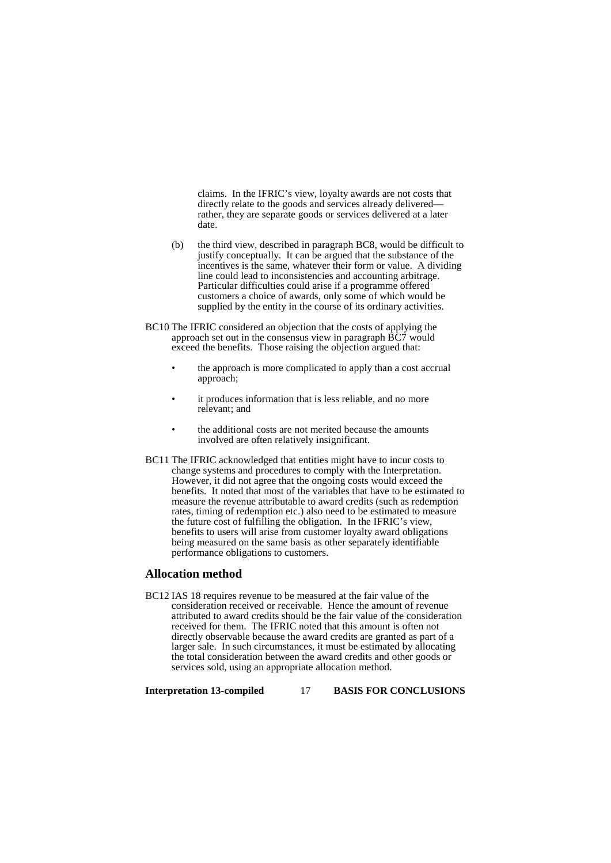claims. In the IFRIC's view, loyalty awards are not costs that directly relate to the goods and services already delivered rather, they are separate goods or services delivered at a later date.

- (b) the third view, described in paragraph BC8, would be difficult to justify conceptually. It can be argued that the substance of the incentives is the same, whatever their form or value. A dividing line could lead to inconsistencies and accounting arbitrage. Particular difficulties could arise if a programme offered customers a choice of awards, only some of which would be supplied by the entity in the course of its ordinary activities.
- BC10 The IFRIC considered an objection that the costs of applying the approach set out in the consensus view in paragraph BC7 would exceed the benefits. Those raising the objection argued that:
	- the approach is more complicated to apply than a cost accrual approach;
	- it produces information that is less reliable, and no more relevant; and
	- the additional costs are not merited because the amounts involved are often relatively insignificant.
- BC11 The IFRIC acknowledged that entities might have to incur costs to change systems and procedures to comply with the Interpretation. However, it did not agree that the ongoing costs would exceed the benefits. It noted that most of the variables that have to be estimated to measure the revenue attributable to award credits (such as redemption rates, timing of redemption etc.) also need to be estimated to measure the future cost of fulfilling the obligation. In the IFRIC's view, benefits to users will arise from customer loyalty award obligations being measured on the same basis as other separately identifiable performance obligations to customers.

#### **Allocation method**

BC12 IAS 18 requires revenue to be measured at the fair value of the consideration received or receivable. Hence the amount of revenue attributed to award credits should be the fair value of the consideration received for them. The IFRIC noted that this amount is often not directly observable because the award credits are granted as part of a larger sale. In such circumstances, it must be estimated by allocating the total consideration between the award credits and other goods or services sold, using an appropriate allocation method.

**Interpretation 13-compiled** 17 **BASIS FOR CONCLUSIONS**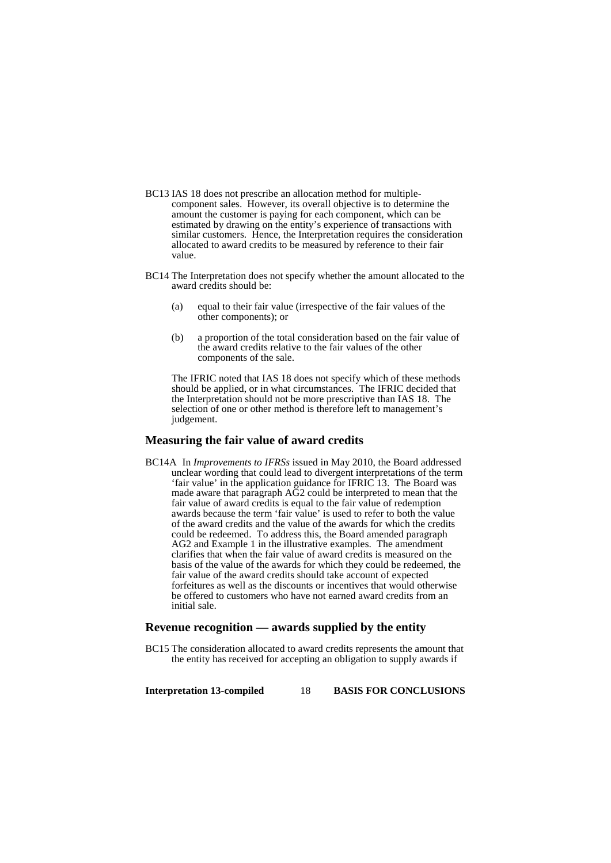- BC13 IAS 18 does not prescribe an allocation method for multiplecomponent sales. However, its overall objective is to determine the amount the customer is paying for each component, which can be estimated by drawing on the entity's experience of transactions with similar customers. Hence, the Interpretation requires the consideration allocated to award credits to be measured by reference to their fair value.
- BC14 The Interpretation does not specify whether the amount allocated to the award credits should be:
	- (a) equal to their fair value (irrespective of the fair values of the other components); or
	- (b) a proportion of the total consideration based on the fair value of the award credits relative to the fair values of the other components of the sale.

The IFRIC noted that IAS 18 does not specify which of these methods should be applied, or in what circumstances. The IFRIC decided that the Interpretation should not be more prescriptive than IAS 18. The selection of one or other method is therefore left to management's judgement.

#### **Measuring the fair value of award credits**

BC14A In *Improvements to IFRSs* issued in May 2010, the Board addressed unclear wording that could lead to divergent interpretations of the term 'fair value' in the application guidance for IFRIC 13. The Board was made aware that paragraph AG2 could be interpreted to mean that the fair value of award credits is equal to the fair value of redemption awards because the term 'fair value' is used to refer to both the value of the award credits and the value of the awards for which the credits could be redeemed. To address this, the Board amended paragraph AG2 and Example 1 in the illustrative examples. The amendment clarifies that when the fair value of award credits is measured on the basis of the value of the awards for which they could be redeemed, the fair value of the award credits should take account of expected forfeitures as well as the discounts or incentives that would otherwise be offered to customers who have not earned award credits from an initial sale.

#### **Revenue recognition — awards supplied by the entity**

BC15 The consideration allocated to award credits represents the amount that the entity has received for accepting an obligation to supply awards if

**Interpretation 13-compiled** 18 **BASIS FOR CONCLUSIONS**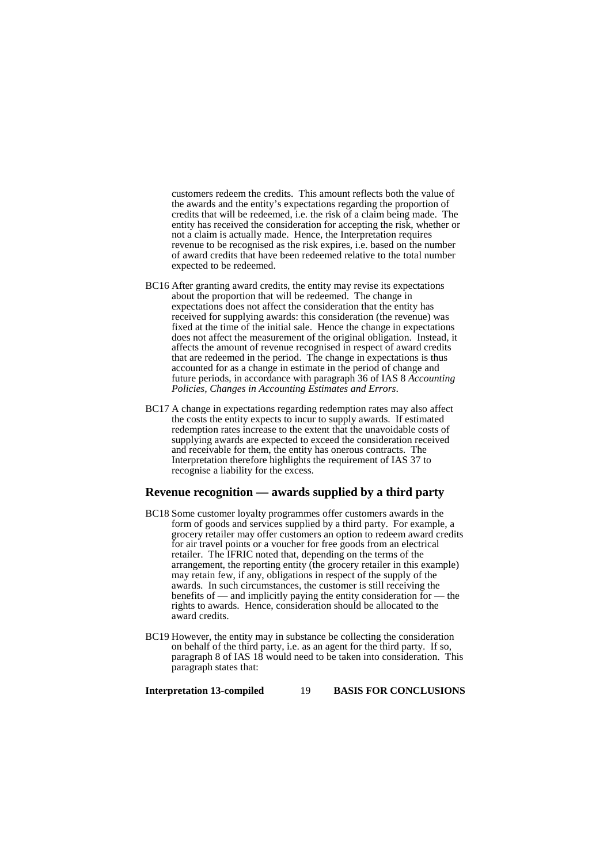customers redeem the credits. This amount reflects both the value of the awards and the entity's expectations regarding the proportion of credits that will be redeemed, i.e. the risk of a claim being made. The entity has received the consideration for accepting the risk, whether or not a claim is actually made. Hence, the Interpretation requires revenue to be recognised as the risk expires, i.e. based on the number of award credits that have been redeemed relative to the total number expected to be redeemed.

- BC16 After granting award credits, the entity may revise its expectations about the proportion that will be redeemed. The change in expectations does not affect the consideration that the entity has received for supplying awards: this consideration (the revenue) was fixed at the time of the initial sale. Hence the change in expectations does not affect the measurement of the original obligation. Instead, it affects the amount of revenue recognised in respect of award credits that are redeemed in the period. The change in expectations is thus accounted for as a change in estimate in the period of change and future periods, in accordance with paragraph 36 of IAS 8 *Accounting Policies, Changes in Accounting Estimates and Errors*.
- BC17 A change in expectations regarding redemption rates may also affect the costs the entity expects to incur to supply awards. If estimated redemption rates increase to the extent that the unavoidable costs of supplying awards are expected to exceed the consideration received and receivable for them, the entity has onerous contracts. The Interpretation therefore highlights the requirement of IAS 37 to recognise a liability for the excess.

#### **Revenue recognition — awards supplied by a third party**

- BC18 Some customer loyalty programmes offer customers awards in the form of goods and services supplied by a third party. For example, a grocery retailer may offer customers an option to redeem award credits for air travel points or a voucher for free goods from an electrical retailer. The IFRIC noted that, depending on the terms of the arrangement, the reporting entity (the grocery retailer in this example) may retain few, if any, obligations in respect of the supply of the awards. In such circumstances, the customer is still receiving the benefits of — and implicitly paying the entity consideration for — the benefits of — and implicitly paying the entity consideration for  $$ rights to awards. Hence, consideration should be allocated to the award credits.
- BC19 However, the entity may in substance be collecting the consideration on behalf of the third party, i.e. as an agent for the third party. If so, paragraph 8 of IAS 18 would need to be taken into consideration. This paragraph states that:

**Interpretation 13-compiled** 19 **BASIS FOR CONCLUSIONS**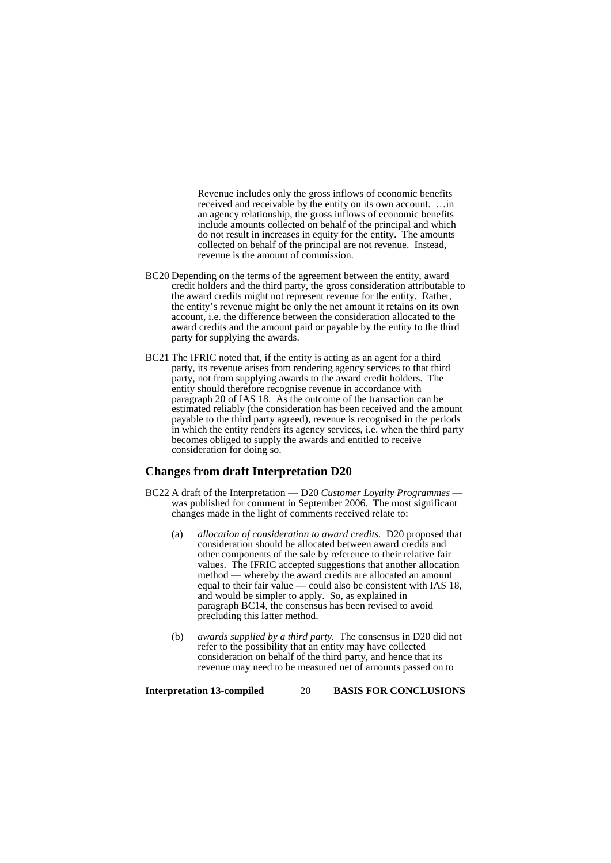Revenue includes only the gross inflows of economic benefits received and receivable by the entity on its own account. …in an agency relationship, the gross inflows of economic benefits include amounts collected on behalf of the principal and which do not result in increases in equity for the entity. The amounts collected on behalf of the principal are not revenue. Instead, revenue is the amount of commission.

- BC20 Depending on the terms of the agreement between the entity, award credit holders and the third party, the gross consideration attributable to the award credits might not represent revenue for the entity. Rather, the entity's revenue might be only the net amount it retains on its own account, i.e. the difference between the consideration allocated to the award credits and the amount paid or payable by the entity to the third party for supplying the awards.
- BC21 The IFRIC noted that, if the entity is acting as an agent for a third party, its revenue arises from rendering agency services to that third party, not from supplying awards to the award credit holders. The entity should therefore recognise revenue in accordance with paragraph 20 of IAS 18. As the outcome of the transaction can be estimated reliably (the consideration has been received and the amount payable to the third party agreed), revenue is recognised in the periods in which the entity renders its agency services, i.e. when the third party becomes obliged to supply the awards and entitled to receive consideration for doing so.

#### **Changes from draft Interpretation D20**

- BC22 A draft of the Interpretation D20 *Customer Loyalty Programmes* was published for comment in September 2006. The most significant changes made in the light of comments received relate to:
	- (a) *allocation of consideration to award credits.* D20 proposed that consideration should be allocated between award credits and other components of the sale by reference to their relative fair values. The IFRIC accepted suggestions that another allocation method — whereby the award credits are allocated an amount equal to their fair value — could also be consistent with IAS 18, and would be simpler to apply. So, as explained in paragraph BC14, the consensus has been revised to avoid precluding this latter method.
	- (b) *awards supplied by a third party.* The consensus in D20 did not refer to the possibility that an entity may have collected consideration on behalf of the third party, and hence that its revenue may need to be measured net of amounts passed on to

**Interpretation 13-compiled** 20 **BASIS FOR CONCLUSIONS**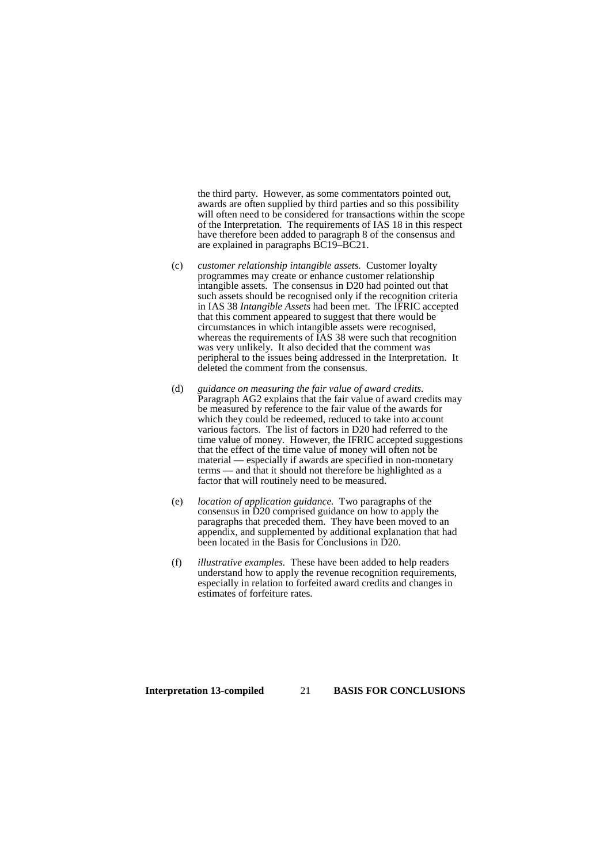the third party. However, as some commentators pointed out, awards are often supplied by third parties and so this possibility will often need to be considered for transactions within the scope of the Interpretation. The requirements of IAS 18 in this respect have therefore been added to paragraph 8 of the consensus and are explained in paragraphs BC19–BC21.

- (c) *customer relationship intangible assets.* Customer loyalty programmes may create or enhance customer relationship intangible assets. The consensus in D20 had pointed out that such assets should be recognised only if the recognition criteria in IAS 38 *Intangible Assets* had been met. The IFRIC accepted that this comment appeared to suggest that there would be circumstances in which intangible assets were recognised, whereas the requirements of IAS 38 were such that recognition was very unlikely. It also decided that the comment was peripheral to the issues being addressed in the Interpretation. It deleted the comment from the consensus.
- (d) *guidance on measuring the fair value of award credits.* Paragraph AG2 explains that the fair value of award credits may be measured by reference to the fair value of the awards for which they could be redeemed, reduced to take into account various factors. The list of factors in D20 had referred to the time value of money. However, the IFRIC accepted suggestions that the effect of the time value of money will often not be material — especially if awards are specified in non-monetary terms — and that it should not therefore be highlighted as a factor that will routinely need to be measured.
- (e) *location of application guidance.* Two paragraphs of the consensus in D20 comprised guidance on how to apply the paragraphs that preceded them. They have been moved to an appendix, and supplemented by additional explanation that had been located in the Basis for Conclusions in D20.
- (f) *illustrative examples.* These have been added to help readers understand how to apply the revenue recognition requirements, especially in relation to forfeited award credits and changes in estimates of forfeiture rates.

**Interpretation 13-compiled** 21 **BASIS FOR CONCLUSIONS**